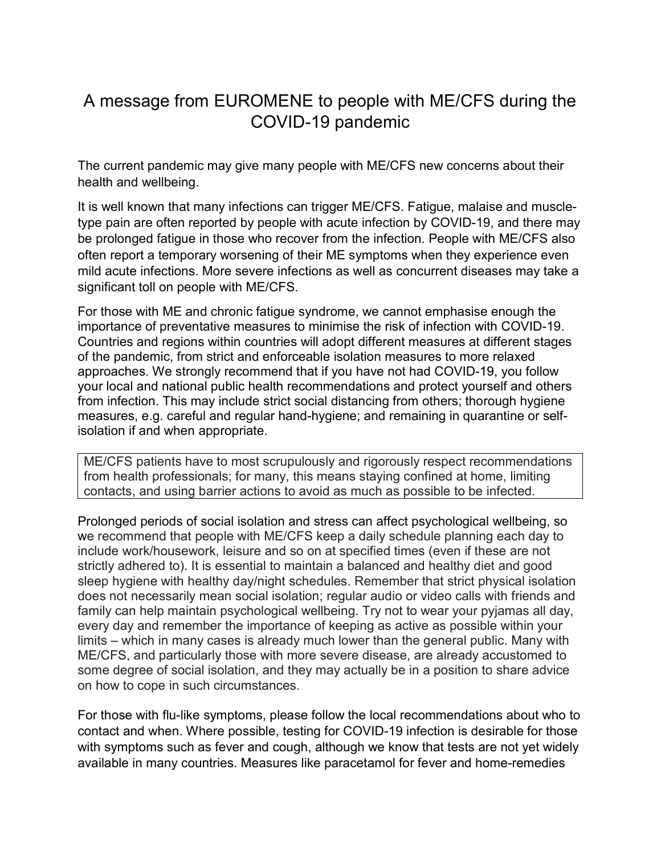## A message from EUROMENE to people with ME/CFS during the COVID-19 pandemic

The current pandemic may give many people with ME/CFS new concerns about their health and wellbeing.

It is well known that many infections can trigger ME/CFS. Fatigue, malaise and muscletype pain are often reported by people with acute infection by COVID-19, and there may be prolonged fatigue in those who recover from the infection. People with ME/CFS also often report a temporary worsening of their ME symptoms when they experience even mild acute infections. More severe infections as well as concurrent diseases may take a significant toll on people with ME/CFS.

For those with ME and chronic fatigue syndrome, we cannot emphasise enough the importance of preventative measures to minimise the risk of infection with COVID-19. Countries and regions within countries will adopt different measures at different stages of the pandemic, from strict and enforceable isolation measures to more relaxed approaches. We strongly recommend that if you have not had COVID-19, you follow your local and national public health recommendations and protect yourself and others from infection. This may include strict social distancing from others; thorough hygiene measures, e.g. careful and regular hand-hygiene; and remaining in quarantine or selfisolation if and when appropriate.

ME/CFS patients have to most scrupulously and rigorously respect recommendations from health professionals; for many, this means staying confined at home, limiting contacts, and using barrier actions to avoid as much as possible to be infected.

Prolonged periods of social isolation and stress can affect psychological wellbeing, so we recommend that people with ME/CFS keep a daily schedule planning each day to include work/housework, leisure and so on at specified times (even if these are not strictly adhered to). It is essential to maintain a balanced and healthy diet and good sleep hygiene with healthy day/night schedules. Remember that strict physical isolation does not necessarily mean social isolation; regular audio or video calls with friends and family can help maintain psychological wellbeing. Try not to wear your pyjamas all day, every day and remember the importance of keeping as active as possible within your limits – which in many cases is already much lower than the general public. Many with ME/CFS, and particularly those with more severe disease, are already accustomed to some degree of social isolation, and they may actually be in a position to share advice on how to cope in such circumstances.

For those with flu-like symptoms, please follow the local recommendations about who to contact and when. Where possible, testing for COVID-19 infection is desirable for those with symptoms such as fever and cough, although we know that tests are not yet widely available in many countries. Measures like paracetamol for fever and home-remedies